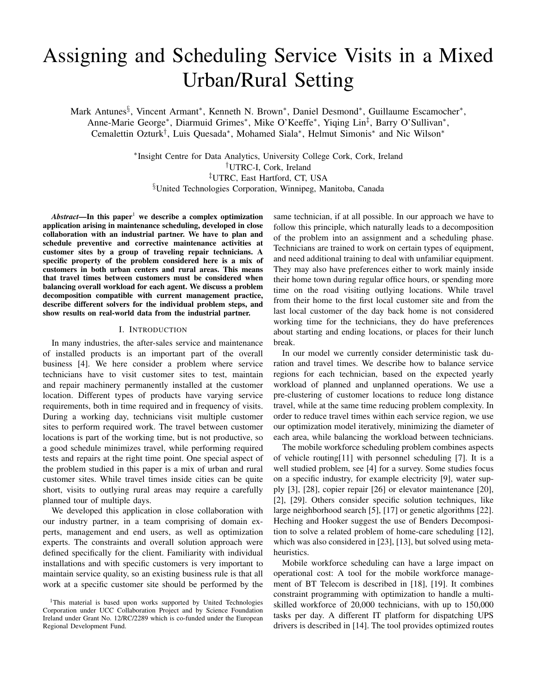# Assigning and Scheduling Service Visits in a Mixed Urban/Rural Setting

Mark Antunes<sup>§</sup>, Vincent Armant<sup>\*</sup>, Kenneth N. Brown<sup>\*</sup>, Daniel Desmond<sup>\*</sup>, Guillaume Escamocher<sup>\*</sup>, Anne-Marie George\*, Diarmuid Grimes\*, Mike O'Keeffe\*, Yiqing Lin<sup>‡</sup>, Barry O'Sullivan\*, Cemalettin Ozturk† , Luis Quesada<sup>∗</sup> , Mohamed Siala<sup>∗</sup> , Helmut Simonis<sup>∗</sup> and Nic Wilson<sup>∗</sup>

> ∗ Insight Centre for Data Analytics, University College Cork, Cork, Ireland †UTRC-I, Cork, Ireland ‡UTRC, East Hartford, CT, USA §United Technologies Corporation, Winnipeg, Manitoba, Canada

 $Abstract$ —In this paper<sup>1</sup> we describe a complex optimization application arising in maintenance scheduling, developed in close collaboration with an industrial partner. We have to plan and schedule preventive and corrective maintenance activities at customer sites by a group of traveling repair technicians. A specific property of the problem considered here is a mix of customers in both urban centers and rural areas. This means that travel times between customers must be considered when balancing overall workload for each agent. We discuss a problem decomposition compatible with current management practice, describe different solvers for the individual problem steps, and show results on real-world data from the industrial partner.

# I. INTRODUCTION

In many industries, the after-sales service and maintenance of installed products is an important part of the overall business [4]. We here consider a problem where service technicians have to visit customer sites to test, maintain and repair machinery permanently installed at the customer location. Different types of products have varying service requirements, both in time required and in frequency of visits. During a working day, technicians visit multiple customer sites to perform required work. The travel between customer locations is part of the working time, but is not productive, so a good schedule minimizes travel, while performing required tests and repairs at the right time point. One special aspect of the problem studied in this paper is a mix of urban and rural customer sites. While travel times inside cities can be quite short, visits to outlying rural areas may require a carefully planned tour of multiple days.

We developed this application in close collaboration with our industry partner, in a team comprising of domain experts, management and end users, as well as optimization experts. The constraints and overall solution approach were defined specifically for the client. Familiarity with individual installations and with specific customers is very important to maintain service quality, so an existing business rule is that all work at a specific customer site should be performed by the same technician, if at all possible. In our approach we have to follow this principle, which naturally leads to a decomposition of the problem into an assignment and a scheduling phase. Technicians are trained to work on certain types of equipment, and need additional training to deal with unfamiliar equipment. They may also have preferences either to work mainly inside their home town during regular office hours, or spending more time on the road visiting outlying locations. While travel from their home to the first local customer site and from the last local customer of the day back home is not considered working time for the technicians, they do have preferences about starting and ending locations, or places for their lunch break.

In our model we currently consider deterministic task duration and travel times. We describe how to balance service regions for each technician, based on the expected yearly workload of planned and unplanned operations. We use a pre-clustering of customer locations to reduce long distance travel, while at the same time reducing problem complexity. In order to reduce travel times within each service region, we use our optimization model iteratively, minimizing the diameter of each area, while balancing the workload between technicians.

The mobile workforce scheduling problem combines aspects of vehicle routing[11] with personnel scheduling [7]. It is a well studied problem, see [4] for a survey. Some studies focus on a specific industry, for example electricity [9], water supply [3], [28], copier repair [26] or elevator maintenance [20], [2], [29]. Others consider specific solution techniques, like large neighborhood search [5], [17] or genetic algorithms [22]. Heching and Hooker suggest the use of Benders Decomposition to solve a related problem of home-care scheduling [12], which was also considered in [23], [13], but solved using metaheuristics.

Mobile workforce scheduling can have a large impact on operational cost: A tool for the mobile workforce management of BT Telecom is described in [18], [19]. It combines constraint programming with optimization to handle a multiskilled workforce of 20,000 technicians, with up to 150,000 tasks per day. A different IT platform for dispatching UPS drivers is described in [14]. The tool provides optimized routes

<sup>&</sup>lt;sup>1</sup>This material is based upon works supported by United Technologies Corporation under UCC Collaboration Project and by Science Foundation Ireland under Grant No. 12/RC/2289 which is co-funded under the European Regional Development Fund.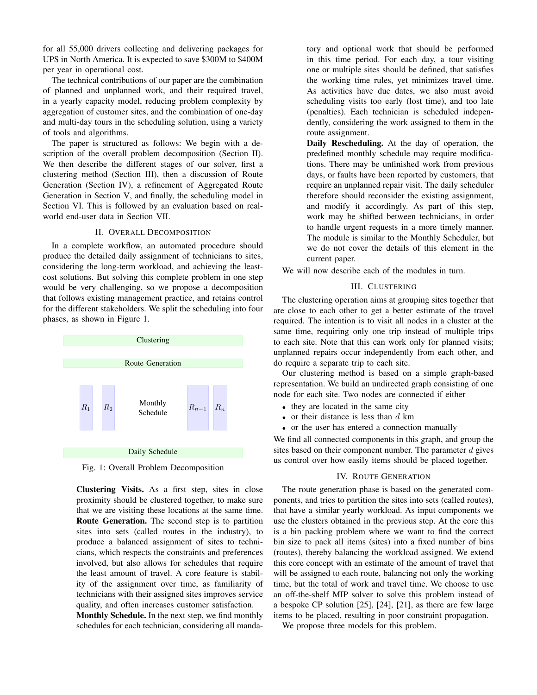for all 55,000 drivers collecting and delivering packages for UPS in North America. It is expected to save \$300M to \$400M per year in operational cost.

The technical contributions of our paper are the combination of planned and unplanned work, and their required travel, in a yearly capacity model, reducing problem complexity by aggregation of customer sites, and the combination of one-day and multi-day tours in the scheduling solution, using a variety of tools and algorithms.

The paper is structured as follows: We begin with a description of the overall problem decomposition (Section II). We then describe the different stages of our solver, first a clustering method (Section III), then a discussion of Route Generation (Section IV), a refinement of Aggregated Route Generation in Section V, and finally, the scheduling model in Section VI. This is followed by an evaluation based on realworld end-user data in Section VII.

### II. OVERALL DECOMPOSITION

In a complete workflow, an automated procedure should produce the detailed daily assignment of technicians to sites, considering the long-term workload, and achieving the leastcost solutions. But solving this complete problem in one step would be very challenging, so we propose a decomposition that follows existing management practice, and retains control for the different stakeholders. We split the scheduling into four phases, as shown in Figure 1.



Fig. 1: Overall Problem Decomposition

Clustering Visits. As a first step, sites in close proximity should be clustered together, to make sure that we are visiting these locations at the same time. Route Generation. The second step is to partition sites into sets (called routes in the industry), to produce a balanced assignment of sites to technicians, which respects the constraints and preferences involved, but also allows for schedules that require the least amount of travel. A core feature is stability of the assignment over time, as familiarity of technicians with their assigned sites improves service quality, and often increases customer satisfaction.

Monthly Schedule. In the next step, we find monthly schedules for each technician, considering all mandatory and optional work that should be performed in this time period. For each day, a tour visiting one or multiple sites should be defined, that satisfies the working time rules, yet minimizes travel time. As activities have due dates, we also must avoid scheduling visits too early (lost time), and too late (penalties). Each technician is scheduled independently, considering the work assigned to them in the route assignment.

Daily Rescheduling. At the day of operation, the predefined monthly schedule may require modifications. There may be unfinished work from previous days, or faults have been reported by customers, that require an unplanned repair visit. The daily scheduler therefore should reconsider the existing assignment, and modify it accordingly. As part of this step, work may be shifted between technicians, in order to handle urgent requests in a more timely manner. The module is similar to the Monthly Scheduler, but we do not cover the details of this element in the current paper.

We will now describe each of the modules in turn.

# III. CLUSTERING

The clustering operation aims at grouping sites together that are close to each other to get a better estimate of the travel required. The intention is to visit all nodes in a cluster at the same time, requiring only one trip instead of multiple trips to each site. Note that this can work only for planned visits; unplanned repairs occur independently from each other, and do require a separate trip to each site.

Our clustering method is based on a simple graph-based representation. We build an undirected graph consisting of one node for each site. Two nodes are connected if either

- they are located in the same city
- or their distance is less than  $d$  km
- or the user has entered a connection manually

We find all connected components in this graph, and group the sites based on their component number. The parameter  $d$  gives us control over how easily items should be placed together.

## IV. ROUTE GENERATION

The route generation phase is based on the generated components, and tries to partition the sites into sets (called routes), that have a similar yearly workload. As input components we use the clusters obtained in the previous step. At the core this is a bin packing problem where we want to find the correct bin size to pack all items (sites) into a fixed number of bins (routes), thereby balancing the workload assigned. We extend this core concept with an estimate of the amount of travel that will be assigned to each route, balancing not only the working time, but the total of work and travel time. We choose to use an off-the-shelf MIP solver to solve this problem instead of a bespoke CP solution [25], [24], [21], as there are few large items to be placed, resulting in poor constraint propagation.

We propose three models for this problem.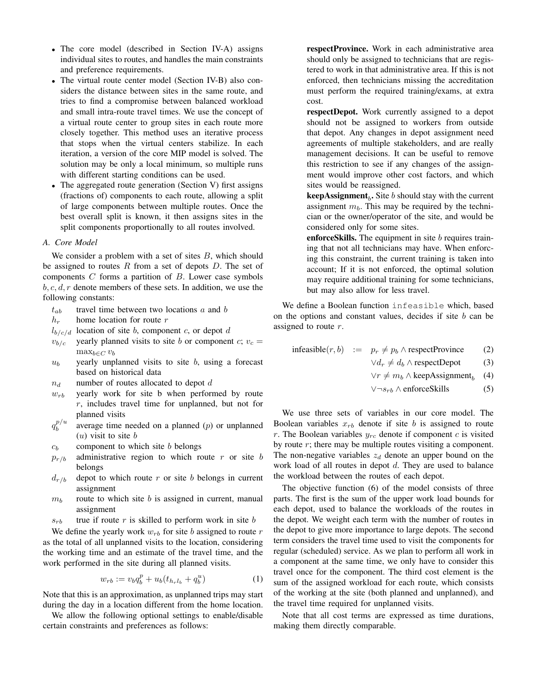- The core model (described in Section IV-A) assigns individual sites to routes, and handles the main constraints and preference requirements.
- The virtual route center model (Section IV-B) also considers the distance between sites in the same route, and tries to find a compromise between balanced workload and small intra-route travel times. We use the concept of a virtual route center to group sites in each route more closely together. This method uses an iterative process that stops when the virtual centers stabilize. In each iteration, a version of the core MIP model is solved. The solution may be only a local minimum, so multiple runs with different starting conditions can be used.
- The aggregated route generation (Section V) first assigns (fractions of) components to each route, allowing a split of large components between multiple routes. Once the best overall split is known, it then assigns sites in the split components proportionally to all routes involved.

## *A. Core Model*

We consider a problem with a set of sites  $B$ , which should be assigned to routes  $R$  from a set of depots  $D$ . The set of components  $C$  forms a partition of  $B$ . Lower case symbols  $b, c, d, r$  denote members of these sets. In addition, we use the following constants:

- $t_{ab}$  travel time between two locations a and b
- $h_r$  home location for route r
- $l_{b/c/d}$  location of site b, component c, or depot d
- $v_{b/c}$  yearly planned visits to site b or component c;  $v_c =$  $\max_{b \in C} v_b$
- $u_b$  yearly unplanned visits to site b, using a forecast based on historical data
- $n_d$  number of routes allocated to depot d
- $w_{rb}$  yearly work for site b when performed by route r, includes travel time for unplanned, but not for planned visits
- $q_h^{p/u}$ b average time needed on a planned  $(p)$  or unplanned  $(u)$  visit to site  $b$
- $c_b$  component to which site b belongs
- $p_{r/b}$  administrative region to which route r or site b belongs
- $d_{r/b}$  depot to which route r or site b belongs in current assignment
- $m_b$  route to which site b is assigned in current, manual assignment
- $s_{rb}$  true if route r is skilled to perform work in site b

We define the yearly work  $w_{rb}$  for site b assigned to route r as the total of all unplanned visits to the location, considering the working time and an estimate of the travel time, and the work performed in the site during all planned visits.

$$
w_{rb} := v_b q_b^p + u_b (t_{h_r l_b} + q_b^u)
$$
 (1)

Note that this is an approximation, as unplanned trips may start during the day in a location different from the home location.

We allow the following optional settings to enable/disable certain constraints and preferences as follows:

respectProvince. Work in each administrative area should only be assigned to technicians that are registered to work in that administrative area. If this is not enforced, then technicians missing the accreditation must perform the required training/exams, at extra cost.

respectDepot. Work currently assigned to a depot should not be assigned to workers from outside that depot. Any changes in depot assignment need agreements of multiple stakeholders, and are really management decisions. It can be useful to remove this restriction to see if any changes of the assignment would improve other cost factors, and which sites would be reassigned.

**keepAssignment**<sub>b</sub>. Site b should stay with the current assignment  $m_b$ . This may be required by the technician or the owner/operator of the site, and would be considered only for some sites.

enforce Skills. The equipment in site  $b$  requires training that not all technicians may have. When enforcing this constraint, the current training is taken into account; If it is not enforced, the optimal solution may require additional training for some technicians, but may also allow for less travel.

We define a Boolean function infeasible which, based on the options and constant values, decides if site  $b$  can be assigned to route r.

infeasible $(r, b) := p_r \neq p_b \wedge$  respectProvince (2)

 $\forall d_r \neq d_b \land \text{respectDepot}$  (3)

- $∨r ≠ m_b ∧$  keepAssignment<sub>b</sub> (4)
- $\vee \neg s_{rb} \wedge$  enforceSkills (5)

We use three sets of variables in our core model. The Boolean variables  $x_{rb}$  denote if site b is assigned to route r. The Boolean variables  $y_{rc}$  denote if component c is visited by route  $r$ ; there may be multiple routes visiting a component. The non-negative variables  $z_d$  denote an upper bound on the work load of all routes in depot  $d$ . They are used to balance the workload between the routes of each depot.

The objective function (6) of the model consists of three parts. The first is the sum of the upper work load bounds for each depot, used to balance the workloads of the routes in the depot. We weight each term with the number of routes in the depot to give more importance to large depots. The second term considers the travel time used to visit the components for regular (scheduled) service. As we plan to perform all work in a component at the same time, we only have to consider this travel once for the component. The third cost element is the sum of the assigned workload for each route, which consists of the working at the site (both planned and unplanned), and the travel time required for unplanned visits.

Note that all cost terms are expressed as time durations, making them directly comparable.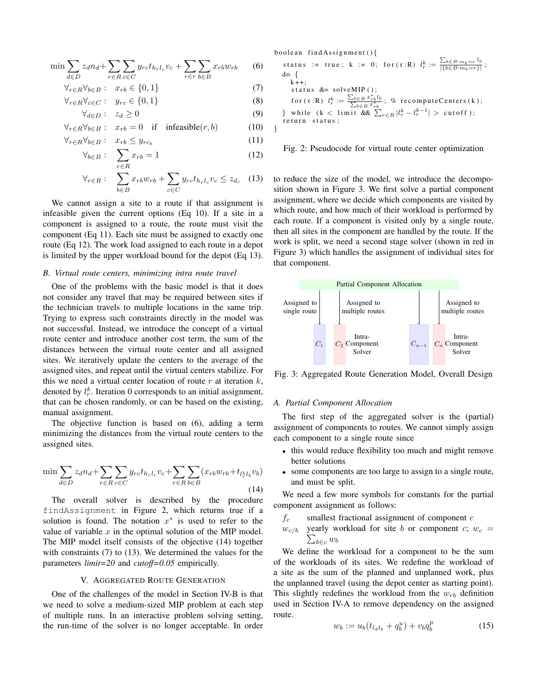$$
\min \sum_{d \in D} z_d n_d + \sum_{r \in R} \sum_{c \in C} y_{rc} t_{h_r l_c} v_c + \sum_{r \in r} \sum_{b \in B} x_{rb} w_{rb} \tag{6}
$$

$$
\forall_{r \in R} \forall_{b \in B} : x_{rb} \in \{0, 1\} \tag{7}
$$

$$
\forall_{r \in R} \forall_{c \in C} : y_{rc} \in \{0, 1\} \tag{8}
$$

$$
\forall_{d \in D} : z_d \ge 0 \tag{9}
$$

$$
\forall_{r \in R} \forall_{b \in B} : x_{rb} = 0 \quad \text{if} \quad \text{infeasible}(r, b) \tag{10}
$$

$$
\forall_{r \in R} \forall_{b \in B} : x_{rb} \leq y_{rc_b} \tag{11}
$$

$$
\forall_{b \in B} : \quad \sum_{r \in R} x_{rb} = 1 \tag{12}
$$

$$
\forall_{r \in R} : \quad \sum_{b \in B} x_{rb} w_{rb} + \sum_{c \in C} y_{rc} t_{h_r l_c} v_c \le z_{d_r} \quad (13)
$$

We cannot assign a site to a route if that assignment is infeasible given the current options (Eq 10). If a site in a component is assigned to a route, the route must visit the component (Eq 11). Each site must be assigned to exactly one route (Eq 12). The work load assigned to each route in a depot is limited by the upper workload bound for the depot (Eq 13).

#### *B. Virtual route centers, minimizing intra route travel*

One of the problems with the basic model is that it does not consider any travel that may be required between sites if the technician travels to multiple locations in the same trip. Trying to express such constraints directly in the model was not successful. Instead, we introduce the concept of a virtual route center and introduce another cost term, the sum of the distances between the virtual route center and all assigned sites. We iteratively update the centers to the average of the assigned sites, and repeat until the virtual centers stabilize. For this we need a virtual center location of route  $r$  at iteration  $k$ , denoted by  $l_r^k$ . Iteration 0 corresponds to an initial assignment, that can be chosen randomly, or can be based on the existing, manual assignment.

The objective function is based on (6), adding a term minimizing the distances from the virtual route centers to the assigned sites.

$$
\min \sum_{d \in D} z_d n_d + \sum_{r \in R} \sum_{c \in C} y_{rc} t_{h_r l_c} v_c + \sum_{r \in R} \sum_{b \in B} (x_{rb} w_{rb} + t_{l_r^k l_b} v_b)
$$
\n(14)

The overall solver is described by the procedure findAssignment in Figure 2, which returns true if a solution is found. The notation  $x^*$  is used to refer to the value of variable  $x$  in the optimal solution of the MIP model. The MIP model itself consists of the objective (14) together with constraints (7) to (13). We determined the values for the parameters *limit=20* and *cutoff=0.05* empirically.

## V. AGGREGATED ROUTE GENERATION

One of the challenges of the model in Section IV-B is that we need to solve a medium-sized MIP problem at each step of multiple runs. In an interactive problem solving setting, the run-time of the solver is no longer acceptable. In order boolean find Assignment () { status := true; k := 0; for (r:R)  $l_r^k := \frac{\sum_{b \in B:m_b=r} l_b}{|\{b \in B:m_b=r\}|}$ ; do {  $k + +$ : status  $&=$  solveMIP(); for (r:R)  $l_r^k := \frac{\sum_{b \in B} x_{rb}^* b_b}{\sum_{b \in B} x_{rb}^*}$ ; % recomputeCenters(k); } while  $(k < \text{limit} \&\& \sum_{r \in R} |l_r^k - l_r^{k-1}| > \text{cutoff});$ return status; }

# Fig. 2: Pseudocode for virtual route center optimization

to reduce the size of the model, we introduce the decomposition shown in Figure 3. We first solve a partial component assignment, where we decide which components are visited by which route, and how much of their workload is performed by each route. If a component is visited only by a single route, then all sites in the component are handled by the route. If the work is split, we need a second stage solver (shown in red in Figure 3) which handles the assignment of individual sites for that component.



Fig. 3: Aggregated Route Generation Model, Overall Design

#### *A. Partial Component Allocation*

The first step of the aggregated solver is the (partial) assignment of components to routes. We cannot simply assign each component to a single route since

- this would reduce flexibility too much and might remove better solutions
- some components are too large to assign to a single route, and must be split.

We need a few more symbols for constants for the partial component assignment as follows:

- $f_c$  smallest fractional assignment of component  $c$
- $w_{c/b}$  yearly workload for site b or component c;  $w_c =$  $\sum_{b\in c} w_b$

We define the workload for a component to be the sum of the workloads of its sites. We redefine the workload of a site as the sum of the planned and unplanned work, plus the unplanned travel (using the depot center as starting point). This slightly redefines the workload from the  $w_{rb}$  definition used in Section IV-A to remove dependency on the assigned route.

$$
w_b := u_b(t_{l_a l_b} + q_b^u) + v_b q_b^p \tag{15}
$$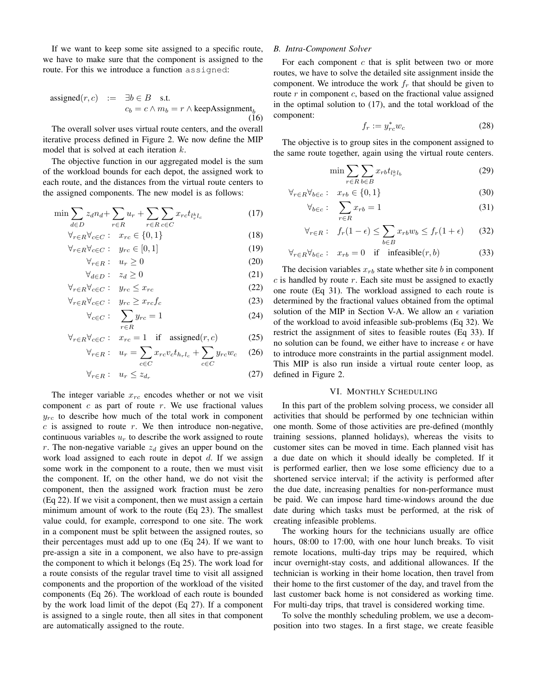If we want to keep some site assigned to a specific route, we have to make sure that the component is assigned to the route. For this we introduce a function assigned:

assigned(*r*, *c*) := 
$$
\exists b \in B
$$
 s.t.  
\n
$$
c_b = c \land m_b = r \land \text{keepAssignment}_b
$$
\n(16)

The overall solver uses virtual route centers, and the overall iterative process defined in Figure 2. We now define the MIP model that is solved at each iteration k.

The objective function in our aggregated model is the sum of the workload bounds for each depot, the assigned work to each route, and the distances from the virtual route centers to the assigned components. The new model is as follows:

$$
\min \sum_{d \in D} z_d n_d + \sum_{r \in R} u_r + \sum_{r \in R} \sum_{c \in C} x_{rc} t_{l_r^k l_c} \tag{17}
$$

$$
\forall_{r \in R} \forall_{c \in C} : x_{rc} \in \{0, 1\} \tag{18}
$$

$$
\forall_{r \in R} \forall_{c \in C} : y_{rc} \in [0, 1] \tag{19}
$$

$$
\forall_{r \in R} : \quad u_r \ge 0 \tag{20}
$$

$$
\forall_{d \in D} : z_d \ge 0 \tag{21}
$$

$$
\forall_{r \in R} \forall_{c \in C} : y_{rc} \le x_{rc}
$$
 (22)

$$
\forall_{r \in R} \forall_{c \in C} : y_{rc} \ge x_{rc} f_c \tag{23}
$$

$$
\forall_{c \in C} : \sum_{r \in R} y_{rc} = 1 \tag{24}
$$

$$
\forall_{r \in R} \forall_{c \in C} : x_{rc} = 1 \quad \text{if} \quad \text{assigned}(r, c) \tag{25}
$$

$$
\forall_{r \in R} : u_r = \sum_{c \in C} x_{rc} v_c t_{h_r l_c} + \sum_{c \in C} y_{rc} w_c \quad (26)
$$

$$
\forall_{r \in R} : \quad u_r \le z_{d_r} \tag{27}
$$

The integer variable  $x_{rc}$  encodes whether or not we visit component  $c$  as part of route  $r$ . We use fractional values  $y_{rc}$  to describe how much of the total work in component  $c$  is assigned to route  $r$ . We then introduce non-negative, continuous variables  $u_r$  to describe the work assigned to route r. The non-negative variable  $z_d$  gives an upper bound on the work load assigned to each route in depot  $d$ . If we assign some work in the component to a route, then we must visit the component. If, on the other hand, we do not visit the component, then the assigned work fraction must be zero (Eq 22). If we visit a component, then we must assign a certain minimum amount of work to the route (Eq 23). The smallest value could, for example, correspond to one site. The work in a component must be split between the assigned routes, so their percentages must add up to one (Eq 24). If we want to pre-assign a site in a component, we also have to pre-assign the component to which it belongs (Eq 25). The work load for a route consists of the regular travel time to visit all assigned components and the proportion of the workload of the visited components (Eq 26). The workload of each route is bounded by the work load limit of the depot (Eq 27). If a component is assigned to a single route, then all sites in that component are automatically assigned to the route.

# *B. Intra-Component Solver*

For each component  $c$  that is split between two or more routes, we have to solve the detailed site assignment inside the component. We introduce the work  $f_r$  that should be given to route  $r$  in component  $c$ , based on the fractional value assigned in the optimal solution to (17), and the total workload of the component:

$$
f_r := y_{rc}^* w_c \tag{28}
$$

The objective is to group sites in the component assigned to the same route together, again using the virtual route centers.

$$
\min \sum_{r \in R} \sum_{b \in B} x_{rb} t_{l_r^k l_b} \tag{29}
$$

$$
\forall_{r \in R} \forall_{b \in c} : x_{rb} \in \{0, 1\} \tag{30}
$$

$$
\forall_{b \in c} : \sum_{r \in R} x_{rb} = 1 \tag{31}
$$

$$
\forall_{r \in R} : f_r(1 - \epsilon) \le \sum_{b \in B} x_{rb} w_b \le f_r(1 + \epsilon) \qquad (32)
$$

$$
\forall_{r \in R} \forall_{b \in c} : x_{rb} = 0 \quad \text{if} \quad \text{infeasible}(r, b) \tag{33}
$$

The decision variables  $x_{rb}$  state whether site b in component  $c$  is handled by route  $r$ . Each site must be assigned to exactly one route (Eq 31). The workload assigned to each route is determined by the fractional values obtained from the optimal solution of the MIP in Section V-A. We allow an  $\epsilon$  variation of the workload to avoid infeasible sub-problems (Eq 32). We restrict the assignment of sites to feasible routes (Eq 33). If no solution can be found, we either have to increase  $\epsilon$  or have to introduce more constraints in the partial assignment model. This MIP is also run inside a virtual route center loop, as defined in Figure 2.

## VI. MONTHLY SCHEDULING

In this part of the problem solving process, we consider all activities that should be performed by one technician within one month. Some of those activities are pre-defined (monthly training sessions, planned holidays), whereas the visits to customer sites can be moved in time. Each planned visit has a due date on which it should ideally be completed. If it is performed earlier, then we lose some efficiency due to a shortened service interval; if the activity is performed after the due date, increasing penalties for non-performance must be paid. We can impose hard time-windows around the due date during which tasks must be performed, at the risk of creating infeasible problems.

The working hours for the technicians usually are office hours, 08:00 to 17:00, with one hour lunch breaks. To visit remote locations, multi-day trips may be required, which incur overnight-stay costs, and additional allowances. If the technician is working in their home location, then travel from their home to the first customer of the day, and travel from the last customer back home is not considered as working time. For multi-day trips, that travel is considered working time.

To solve the monthly scheduling problem, we use a decomposition into two stages. In a first stage, we create feasible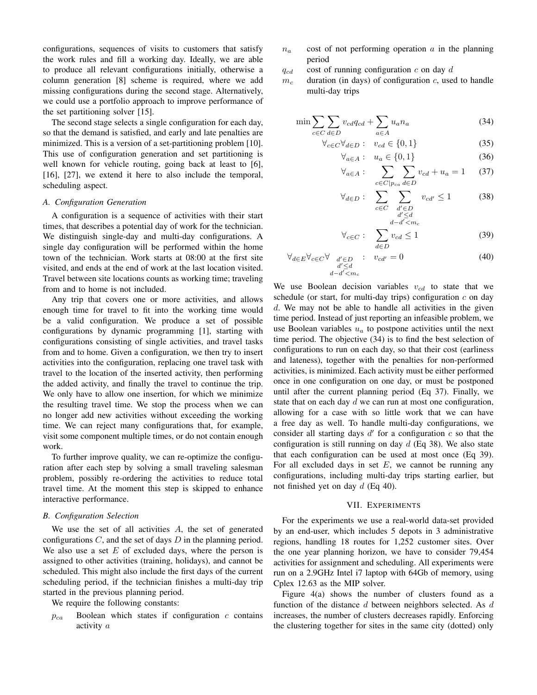configurations, sequences of visits to customers that satisfy the work rules and fill a working day. Ideally, we are able to produce all relevant configurations initially, otherwise a column generation [8] scheme is required, where we add missing configurations during the second stage. Alternatively, we could use a portfolio approach to improve performance of the set partitioning solver [15].

The second stage selects a single configuration for each day, so that the demand is satisfied, and early and late penalties are minimized. This is a version of a set-partitioning problem [10]. This use of configuration generation and set partitioning is well known for vehicle routing, going back at least to [6], [16], [27], we extend it here to also include the temporal, scheduling aspect.

# *A. Configuration Generation*

A configuration is a sequence of activities with their start times, that describes a potential day of work for the technician. We distinguish single-day and multi-day configurations. A single day configuration will be performed within the home town of the technician. Work starts at 08:00 at the first site visited, and ends at the end of work at the last location visited. Travel between site locations counts as working time; traveling from and to home is not included.

Any trip that covers one or more activities, and allows enough time for travel to fit into the working time would be a valid configuration. We produce a set of possible configurations by dynamic programming [1], starting with configurations consisting of single activities, and travel tasks from and to home. Given a configuration, we then try to insert activities into the configuration, replacing one travel task with travel to the location of the inserted activity, then performing the added activity, and finally the travel to continue the trip. We only have to allow one insertion, for which we minimize the resulting travel time. We stop the process when we can no longer add new activities without exceeding the working time. We can reject many configurations that, for example, visit some component multiple times, or do not contain enough work.

To further improve quality, we can re-optimize the configuration after each step by solving a small traveling salesman problem, possibly re-ordering the activities to reduce total travel time. At the moment this step is skipped to enhance interactive performance.

#### *B. Configuration Selection*

We use the set of all activities A, the set of generated configurations  $C$ , and the set of days  $D$  in the planning period. We also use a set  $E$  of excluded days, where the person is assigned to other activities (training, holidays), and cannot be scheduled. This might also include the first days of the current scheduling period, if the technician finishes a multi-day trip started in the previous planning period.

We require the following constants:

 $p_{ca}$  Boolean which states if configuration c contains activity a

- $n_a$  cost of not performing operation a in the planning period
- $q_{cd}$  cost of running configuration c on day d
- $m_c$  duration (in days) of configuration c, used to handle multi-day trips

$$
\min \sum_{c \in C} \sum_{d \in D} v_{cd} q_{cd} + \sum_{a \in A} u_a n_a \tag{34}
$$

$$
\forall_{c \in C} \forall_{d \in D} : v_{cd} \in \{0, 1\} \tag{35}
$$

$$
\forall_{a \in A} : u_a \in \{0, 1\}
$$
 (36)  

$$
\forall_{a \in A} : \sum_{a \in C^{1-a}} \sum_{d \in D} v_{cd} + u_a = 1
$$
 (37)

$$
\forall_{d \in D} : \sum_{c \in C}^{c \in C} \sum_{\substack{d' \in D \\ d' \le d}}^{c \in C} v_{cd'} \le 1 \tag{38}
$$

$$
\forall_{c \in C} : \sum_{d \in D}^{d - d' < m_c} v_{cd} \le 1 \tag{39}
$$

$$
\forall_{d \in E} \forall_{c \in C} \forall \quad d' \in D \quad : \quad v_{cd'} = 0 \tag{40}
$$
\n
$$
\forall_{d \in E} \forall_{c \in C} \forall \quad d' \leq d
$$

We use Boolean decision variables  $v_{cd}$  to state that we schedule (or start, for multi-day trips) configuration  $c$  on day d. We may not be able to handle all activities in the given time period. Instead of just reporting an infeasible problem, we use Boolean variables  $u_a$  to postpone activities until the next time period. The objective (34) is to find the best selection of configurations to run on each day, so that their cost (earliness and lateness), together with the penalties for non-performed activities, is minimized. Each activity must be either performed once in one configuration on one day, or must be postponed until after the current planning period (Eq 37). Finally, we state that on each day  $d$  we can run at most one configuration, allowing for a case with so little work that we can have a free day as well. To handle multi-day configurations, we consider all starting days  $d'$  for a configuration  $c$  so that the configuration is still running on day  $d$  (Eq 38). We also state that each configuration can be used at most once (Eq 39). For all excluded days in set  $E$ , we cannot be running any configurations, including multi-day trips starting earlier, but not finished yet on day  $d$  (Eq 40).

## VII. EXPERIMENTS

For the experiments we use a real-world data-set provided by an end-user, which includes 5 depots in 3 administrative regions, handling 18 routes for 1,252 customer sites. Over the one year planning horizon, we have to consider 79,454 activities for assignment and scheduling. All experiments were run on a 2.9GHz Intel i7 laptop with 64Gb of memory, using Cplex 12.63 as the MIP solver.

Figure 4(a) shows the number of clusters found as a function of the distance  $d$  between neighbors selected. As  $d$ increases, the number of clusters decreases rapidly. Enforcing the clustering together for sites in the same city (dotted) only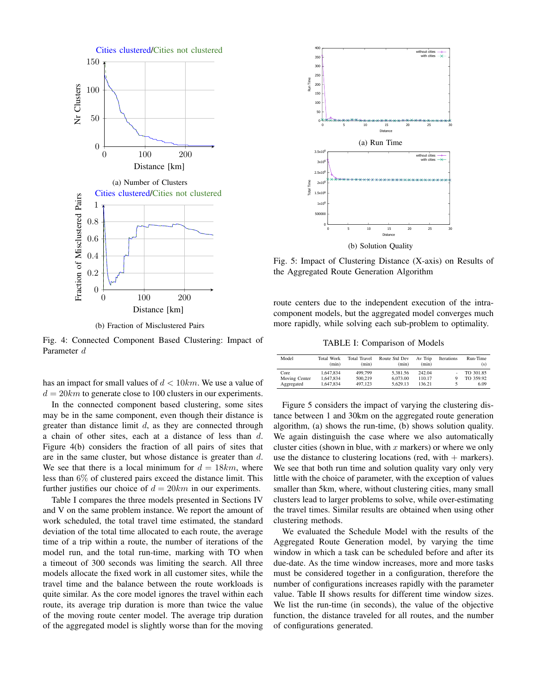

(b) Fraction of Misclustered Pairs

Fig. 4: Connected Component Based Clustering: Impact of Parameter d

has an impact for small values of  $d < 10km$ . We use a value of  $d = 20km$  to generate close to 100 clusters in our experiments.

In the connected component based clustering, some sites may be in the same component, even though their distance is greater than distance limit  $d$ , as they are connected through a chain of other sites, each at a distance of less than  $d$ . Figure 4(b) considers the fraction of all pairs of sites that are in the same cluster, but whose distance is greater than  $d$ . We see that there is a local minimum for  $d = 18km$ , where less than 6% of clustered pairs exceed the distance limit. This further justifies our choice of  $d = 20km$  in our experiments.

Table I compares the three models presented in Sections IV and V on the same problem instance. We report the amount of work scheduled, the total travel time estimated, the standard deviation of the total time allocated to each route, the average time of a trip within a route, the number of iterations of the model run, and the total run-time, marking with TO when a timeout of 300 seconds was limiting the search. All three models allocate the fixed work in all customer sites, while the travel time and the balance between the route workloads is quite similar. As the core model ignores the travel within each route, its average trip duration is more than twice the value of the moving route center model. The average trip duration of the aggregated model is slightly worse than for the moving



Fig. 5: Impact of Clustering Distance (X-axis) on Results of the Aggregated Route Generation Algorithm

route centers due to the independent execution of the intracomponent models, but the aggregated model converges much more rapidly, while solving each sub-problem to optimality.

TABLE I: Comparison of Models

| Model         | Total Work<br>(min) | <b>Total Travel</b><br>(min) | Route Std Dev<br>(min) | Av Trip<br>(min) | <b>Iterations</b> | Run-Time<br>(s) |
|---------------|---------------------|------------------------------|------------------------|------------------|-------------------|-----------------|
| Core          | 1.647.834           | 499,799                      | 5.381.56               | 242.04           | -                 | TO 301.85       |
| Moving Center | 1.647.834           | 500,219                      | 6.073.00               | 110.17           |                   | TO 359.92       |
| Aggregated    | 1.647.834           | 497.123                      | 5.629.13               | 136.21           |                   | 6.09            |

Figure 5 considers the impact of varying the clustering distance between 1 and 30km on the aggregated route generation algorithm, (a) shows the run-time, (b) shows solution quality. We again distinguish the case where we also automatically cluster cities (shown in blue, with  $x$  markers) or where we only use the distance to clustering locations (red, with  $+$  markers). We see that both run time and solution quality vary only very little with the choice of parameter, with the exception of values smaller than 5km, where, without clustering cities, many small clusters lead to larger problems to solve, while over-estimating the travel times. Similar results are obtained when using other clustering methods.

We evaluated the Schedule Model with the results of the Aggregated Route Generation model, by varying the time window in which a task can be scheduled before and after its due-date. As the time window increases, more and more tasks must be considered together in a configuration, therefore the number of configurations increases rapidly with the parameter value. Table II shows results for different time window sizes. We list the run-time (in seconds), the value of the objective function, the distance traveled for all routes, and the number of configurations generated.